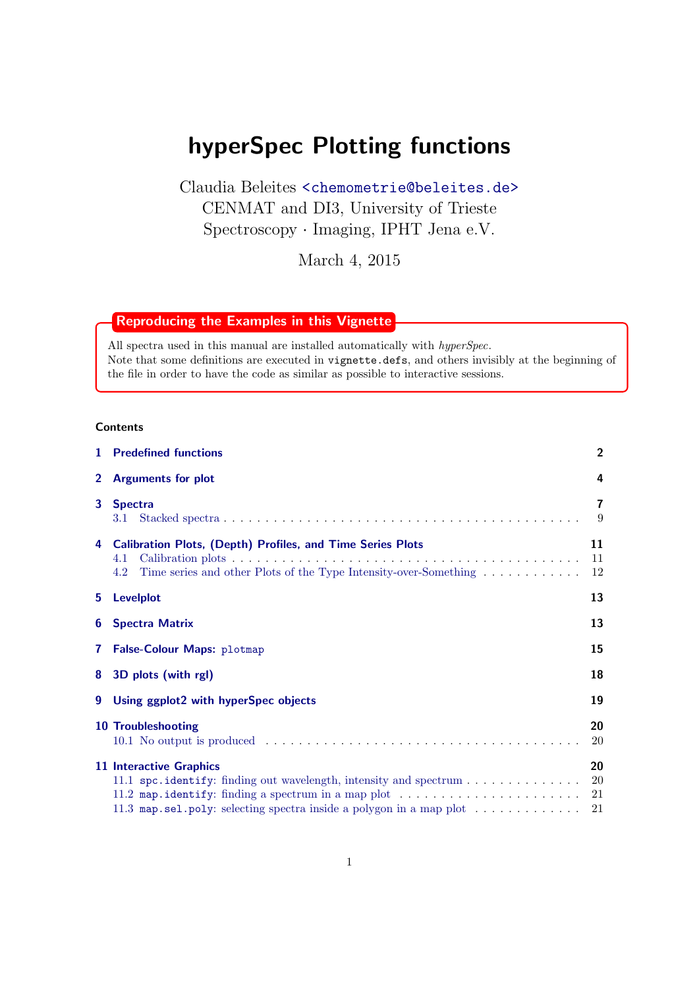# hyperSpec Plotting functions

Claudia Beleites <<chemometrie@beleites.de>> CENMAT and DI3, University of Trieste Spectroscopy · Imaging, IPHT Jena e.V.

March 4, 2015

# Reproducing the Examples in this Vignette

All spectra used in this manual are installed automatically with  $hyperSpec.$ Note that some definitions are executed in vignette.defs, and others invisibly at the beginning of the file in order to have the code as similar as possible to interactive sessions.

# **Contents**

| $\mathbf{1}$   | <b>Predefined functions</b>                                                                                                                                                                                                                                                                                                  | $\overline{2}$ |  |  |  |
|----------------|------------------------------------------------------------------------------------------------------------------------------------------------------------------------------------------------------------------------------------------------------------------------------------------------------------------------------|----------------|--|--|--|
| $\overline{2}$ | <b>Arguments for plot</b>                                                                                                                                                                                                                                                                                                    | 4              |  |  |  |
| 3              | <b>Spectra</b><br>3.1                                                                                                                                                                                                                                                                                                        | 7<br>9         |  |  |  |
| 4              | <b>Calibration Plots, (Depth) Profiles, and Time Series Plots</b><br>4.1<br>Time series and other Plots of the Type Intensity-over-Something<br>4.2                                                                                                                                                                          | 11<br>11<br>12 |  |  |  |
| 5.             | Levelplot                                                                                                                                                                                                                                                                                                                    | 13             |  |  |  |
| 6              | <b>Spectra Matrix</b>                                                                                                                                                                                                                                                                                                        |                |  |  |  |
| $\mathbf{7}$   | False-Colour Maps: plotmap                                                                                                                                                                                                                                                                                                   | 15             |  |  |  |
| 8              | 3D plots (with rgl)                                                                                                                                                                                                                                                                                                          | 18             |  |  |  |
| 9              | Using ggplot2 with hyperSpec objects                                                                                                                                                                                                                                                                                         | 19             |  |  |  |
|                | <b>10 Troubleshooting</b>                                                                                                                                                                                                                                                                                                    | 20<br>20       |  |  |  |
|                | <b>11 Interactive Graphics</b><br>11.1 $\text{spc.i}$ dentify: finding out wavelength, intensity and $\text{spectrum}\dots\dots\dots\dots\dots$<br>11.2 map identify: finding a spectrum in a map plot $\dots \dots \dots \dots \dots \dots \dots$<br>11.3 map.sel.poly: selecting spectra inside a polygon in a map plot 21 | 20<br>20<br>21 |  |  |  |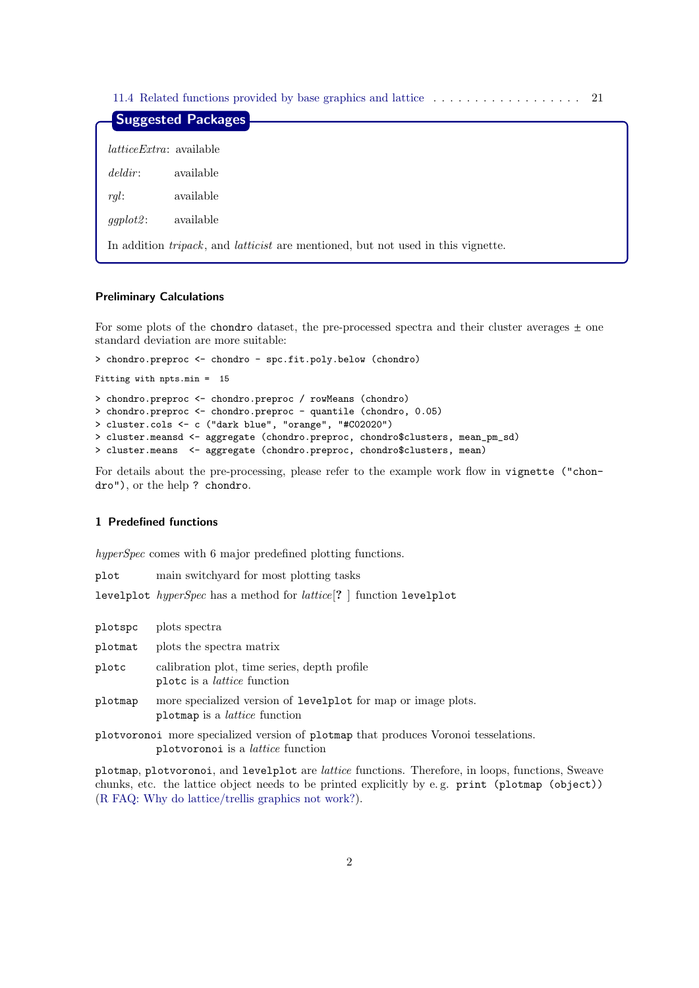[11.4 Related functions provided by base graphics and lattice](#page-20-2) . . . . . . . . . . . . . . . . . . 21

|                                 | Suggested Packages                                                                              |
|---------------------------------|-------------------------------------------------------------------------------------------------|
|                                 |                                                                                                 |
| <i>latticeExtra</i> : available |                                                                                                 |
| deldir:                         | available                                                                                       |
| rgl.                            | available                                                                                       |
| $ggplot2$ :                     | available                                                                                       |
|                                 | In addition <i>tripack</i> , and <i>latticist</i> are mentioned, but not used in this vignette. |

# Preliminary Calculations

For some plots of the chondro dataset, the pre-processed spectra and their cluster averages  $\pm$  one standard deviation are more suitable:

```
> chondro.preproc <- chondro - spc.fit.poly.below (chondro)
Fitting with npts.min = 15
> chondro.preproc <- chondro.preproc / rowMeans (chondro)
> chondro.preproc <- chondro.preproc - quantile (chondro, 0.05)
> cluster.cols <- c ("dark blue", "orange", "#C02020")
> cluster.meansd <- aggregate (chondro.preproc, chondro$clusters, mean_pm_sd)
> cluster.means <- aggregate (chondro.preproc, chondro$clusters, mean)
```
For details about the pre-processing, please refer to the example work flow in vignette ("chondro"), or the help ? chondro.

# <span id="page-1-0"></span>1 Predefined functions

hyperSpec comes with 6 major predefined plotting functions.

| plot |  | main switchyard for most plotting tasks |  |  |  |  |
|------|--|-----------------------------------------|--|--|--|--|
|------|--|-----------------------------------------|--|--|--|--|

levelplot hyperSpec has a method for lattice[? ] function levelplot

plotspc plots spectra

plotmat plots the spectra matrix

plotc calibration plot, time series, depth profile plotc is a lattice function

plotmap more specialized version of levelplot for map or image plots. plotmap is a lattice function

plotvoronoi more specialized version of plotmap that produces Voronoi tesselations. plotvoronoi is a lattice function

plotmap, plotvoronoi, and levelplot are lattice functions. Therefore, in loops, functions, Sweave chunks, etc. the lattice object needs to be printed explicitly by e. g. print (plotmap (object)) [\(R FAQ: Why do lattice/trellis graphics not work?\)](http://cran.r-project.org/doc/FAQ/R-FAQ.html#Why-do-lattice_002ftrellis-graphics-not-work_003f).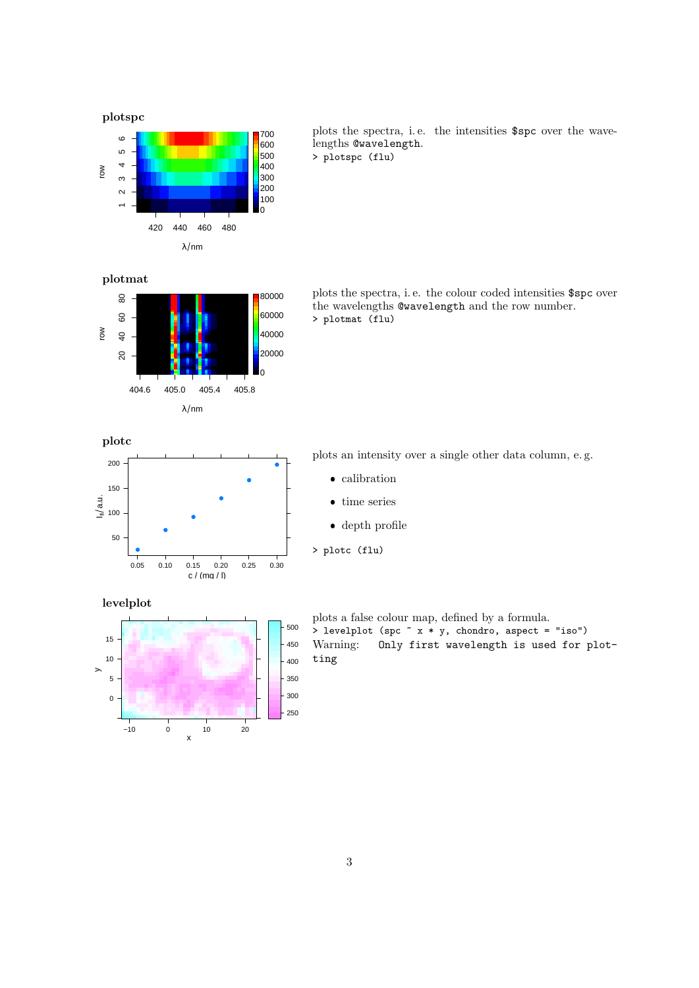

plots the spectra, i.e. the intensities \$spc over the wavelengths @wavelength. > plotspc (flu)



plots the spectra, i. e. the colour coded intensities \$spc over the wavelengths @wavelength and the row number. > plotmat (flu)



plots an intensity over a single other data column, e. g.

- calibration
- time series
- depth profile
- > plotc (flu)

levelplot



plots a false colour map, defined by a formula.  $>$  levelplot (spc  $x * y$ , chondro, aspect = "iso") Warning: Only first wavelength is used for plotting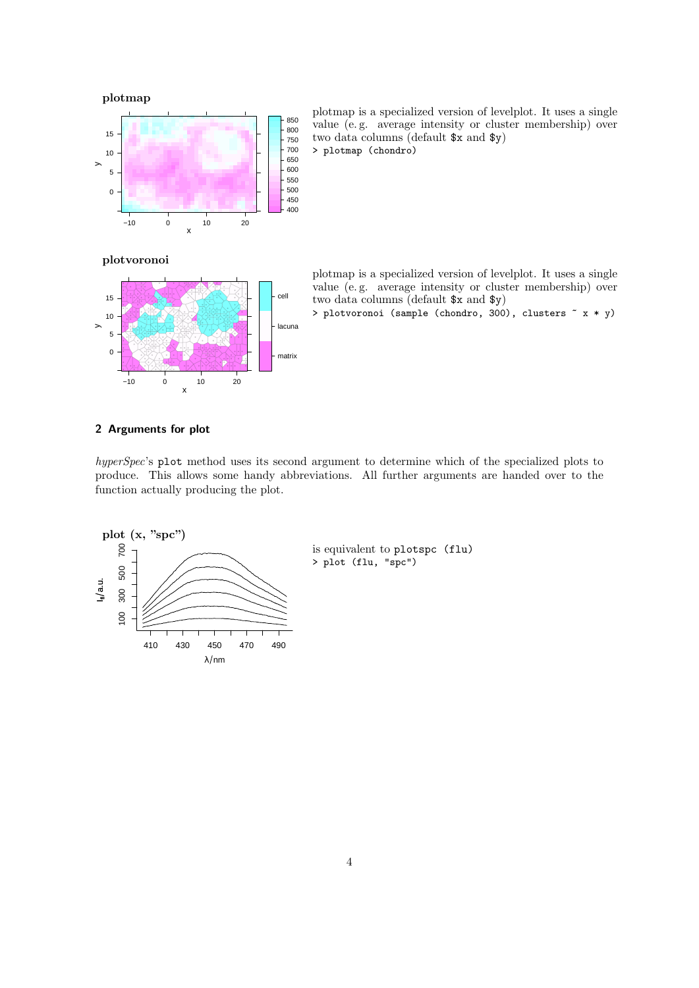

plotmap is a specialized version of levelplot. It uses a single value (e. g. average intensity or cluster membership) over two data columns (default \$x and \$y) > plotmap (chondro)

plotvoronoi



plotmap is a specialized version of levelplot. It uses a single value (e. g. average intensity or cluster membership) over two data columns (default \$x and \$y)

> plotvoronoi (sample (chondro, 300), clusters ~ x \* y)

# <span id="page-3-0"></span>2 Arguments for plot

hyperSpec's plot method uses its second argument to determine which of the specialized plots to produce. This allows some handy abbreviations. All further arguments are handed over to the function actually producing the plot.

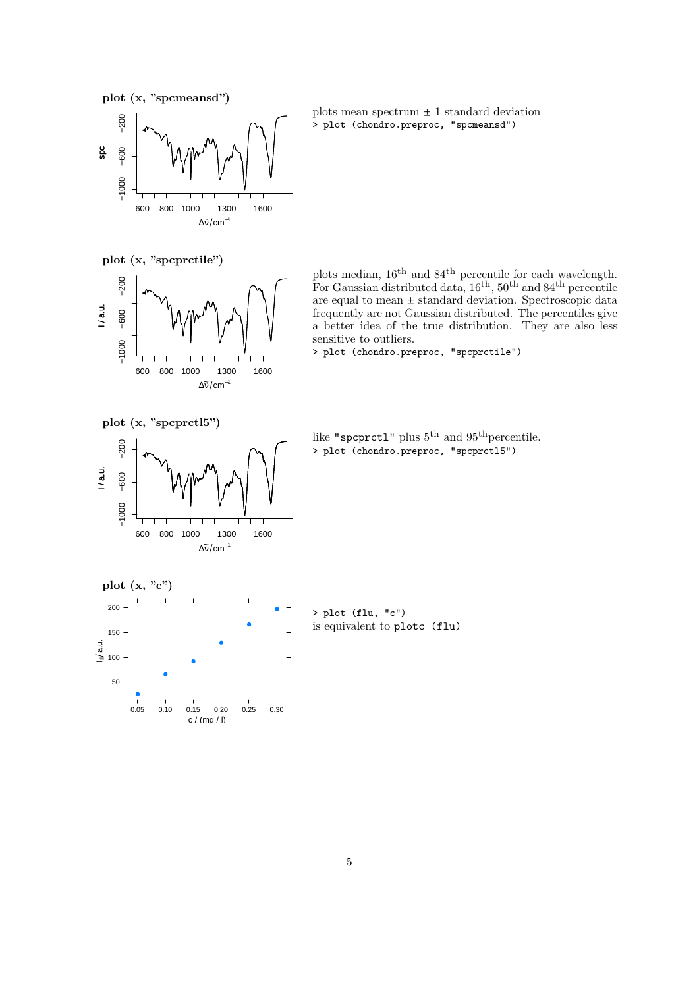



plots mean spectrum  $\pm$  1 standard deviation > plot (chondro.preproc, "spcmeansd")

plot (x, "spcprctile")



plots median,  $16<sup>th</sup>$  and  $84<sup>th</sup>$  percentile for each wavelength. For Gaussian distributed data,  $16^{th}$ ,  $50^{th}$  and  $84^{th}$  percentile are equal to mean  $\pm$  standard deviation. Spectroscopic data frequently are not Gaussian distributed. The percentiles give a better idea of the true distribution. They are also less sensitive to outliers.

> plot (chondro.preproc, "spcprctile")

plot (x, "spcprctl5")



like "spcprct1" plus  $5<sup>th</sup>$  and  $95<sup>th</sup>$  percentile. > plot (chondro.preproc, "spcprctl5")



> plot (flu, "c") is equivalent to plotc (flu)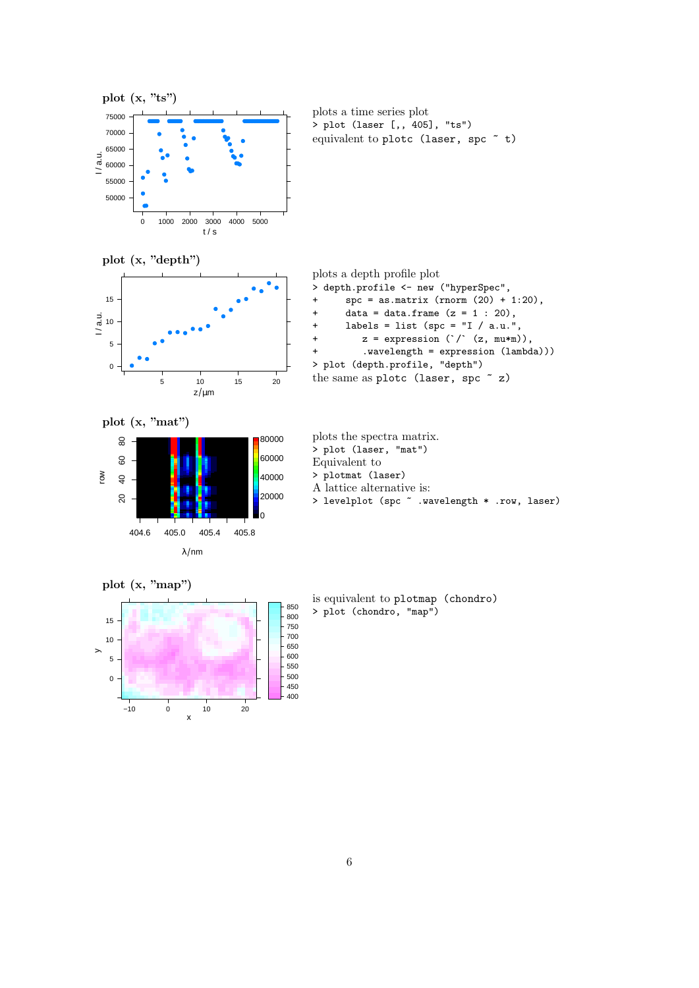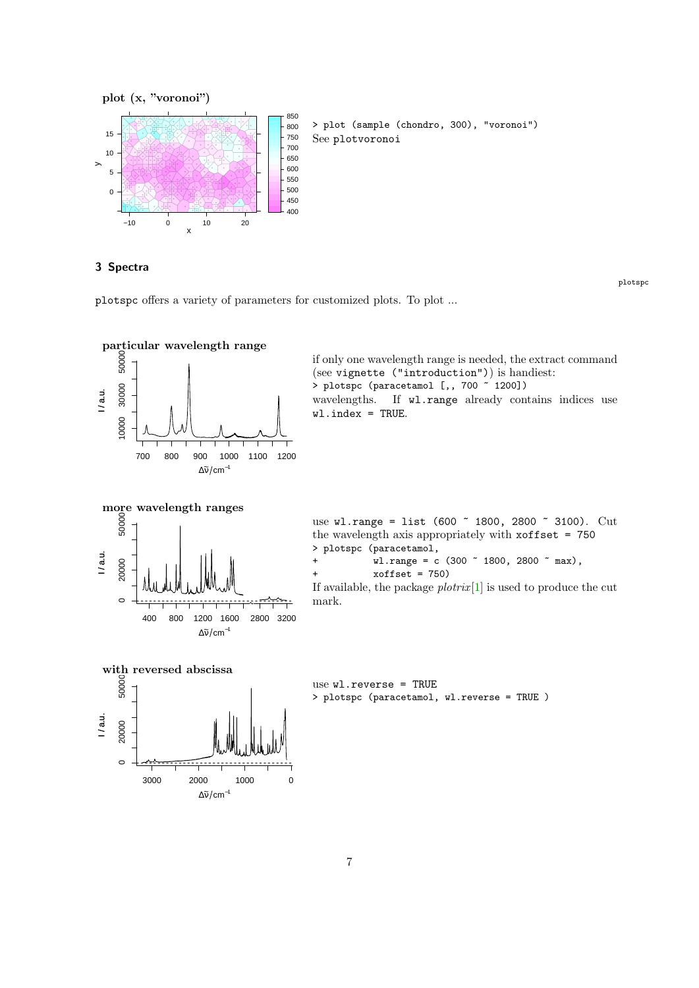

<span id="page-6-0"></span>3 Spectra

plotspc

plotspc offers a variety of parameters for customized plots. To plot ...

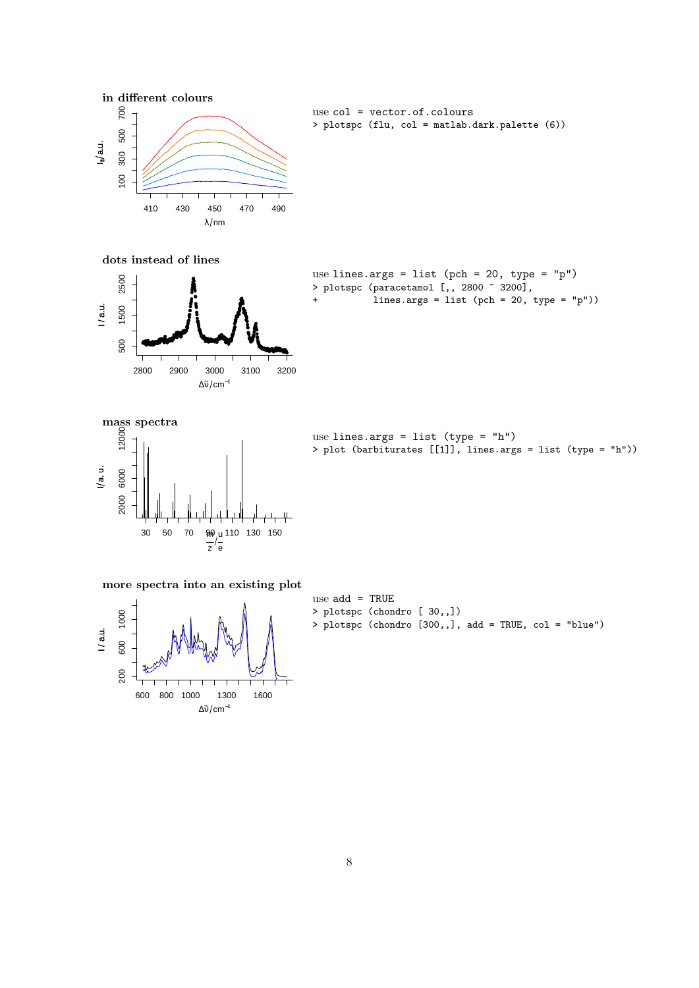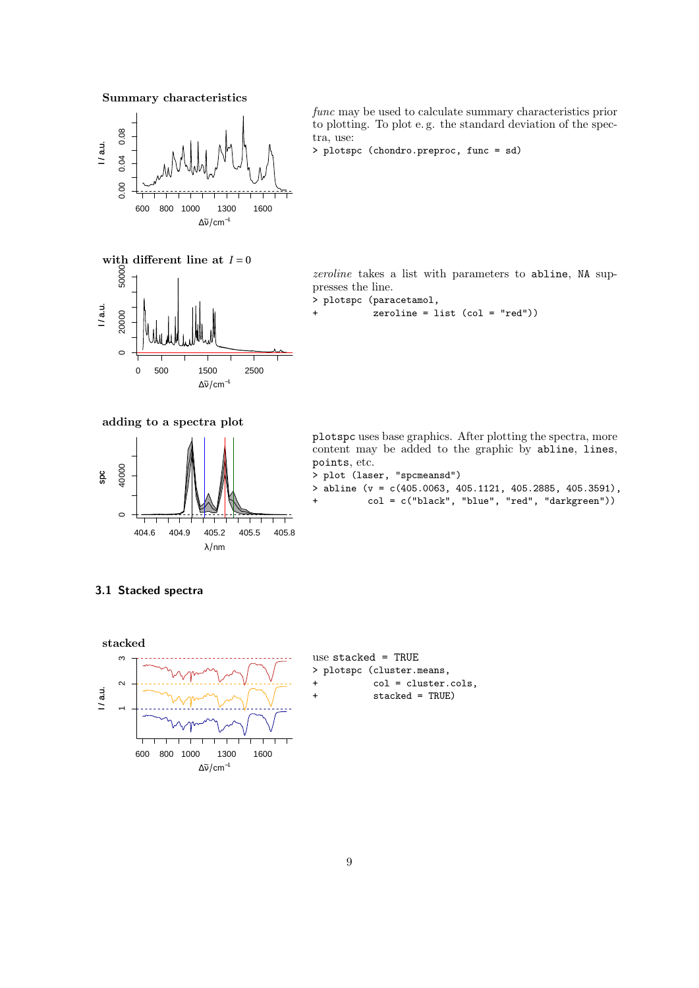Summary characteristics



func may be used to calculate summary characteristics prior to plotting. To plot e. g. the standard deviation of the spectra, use:

```
> plotspc (chondro.preproc, func = sd)
```
with different line at  $I=0$ <br>  $\begin{bmatrix} 8 \\ 8 \\ 8 \end{bmatrix}$  20000 50000 I / a.u. 20000  $\circ$ 

0 500 1500 2500

 $\Delta \tilde{v}$ /cm<sup>-1</sup>

zeroline takes a list with parameters to abline, NA suppresses the line.

- > plotspc (paracetamol,
- $zeroline = list (col = "red"))$

adding to a spectra plot



plotspc uses base graphics. After plotting the spectra, more content may be added to the graphic by abline, lines, points, etc.

- > plot (laser, "spcmeansd")
- > abline (v = c(405.0063, 405.1121, 405.2885, 405.3591),
- col = c("black", "blue", "red", "darkgreen"))

# <span id="page-8-0"></span>3.1 Stacked spectra

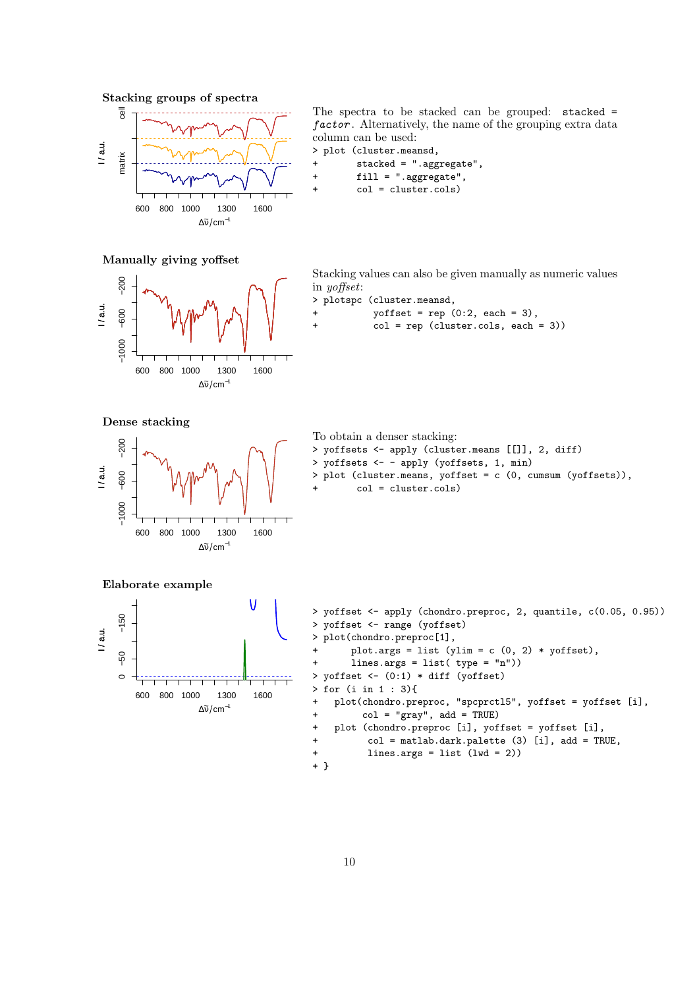Stacking groups of spectra



The spectra to be stacked can be grouped: stacked = factor. Alternatively, the name of the grouping extra data column can be used: > plot (cluster.meansd,

```
+ stacked = ".aggregate",
+ fill = ".aggregate",
       col = cluster.cols)
```
#### Manually giving yoffset



Stacking values can also be given manually as numeric values in yoffset:

```
> plotspc (cluster.meansd,
```

```
yoffset = rep (0:2, each = 3),col = rep (cluster.cols, each = 3))
```
Dense stacking



```
To obtain a denser stacking:
> yoffsets <- apply (cluster.means [[]], 2, diff)
> yoffsets <- - apply (yoffsets, 1, min)
> plot (cluster.means, yoffset = c (0, cumsum (yoffsets)),
        col = cluster.cols)
```
Elaborate example



```
> yoffset <- apply (chondro.preproc, 2, quantile, c(0.05, 0.95))
> yoffset <- range (yoffset)<br>> plot(chondro preproc[1]
 plot(chondro.preproc[1],
       plot.args = list (ylim = c (0, 2) * yoffset),
       lines.args = list('type = "n")> yoffset \leftarrow (0:1) * diff (yoffset)
> for (i in 1 : 3){
+ plot(chondro.preproc, "spcprctl5", yoffset = yoffset [i],
+ col = "gray", add = TRUE)
+ plot (chondro.preproc [i], yoffset = yoffset [i],
+ col = matlab.dark.palette (3) [i], add = TRUE,
+ lines.args = list (lwd = 2))
+ }
```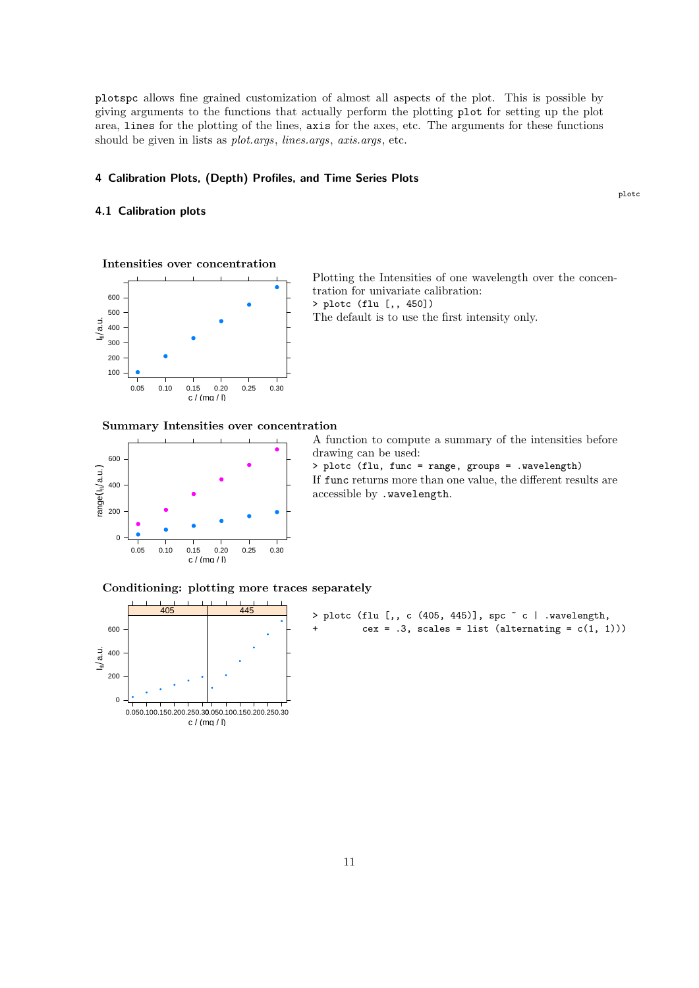plotspc allows fine grained customization of almost all aspects of the plot. This is possible by giving arguments to the functions that actually perform the plotting plot for setting up the plot area, lines for the plotting of the lines, axis for the axes, etc. The arguments for these functions should be given in lists as plot.args, lines.args, axis.args, etc.

# <span id="page-10-0"></span>4 Calibration Plots, (Depth) Profiles, and Time Series Plots

# <span id="page-10-1"></span>4.1 Calibration plots

plotc





Plotting the Intensities of one wavelength over the concentration for univariate calibration: > plotc (flu [,, 450])

The default is to use the first intensity only.

Summary Intensities over concentration



A function to compute a summary of the intensities before drawing can be used:

> plotc (flu, func = range, groups = .wavelength) If func returns more than one value, the different results are accessible by .wavelength.

Conditioning: plotting more traces separately



> plotc (flu [,, c (405, 445)], spc  $\tilde{c}$  c | .wavelength,  $cex = .3$ , scales = list (alternating =  $c(1, 1))$ )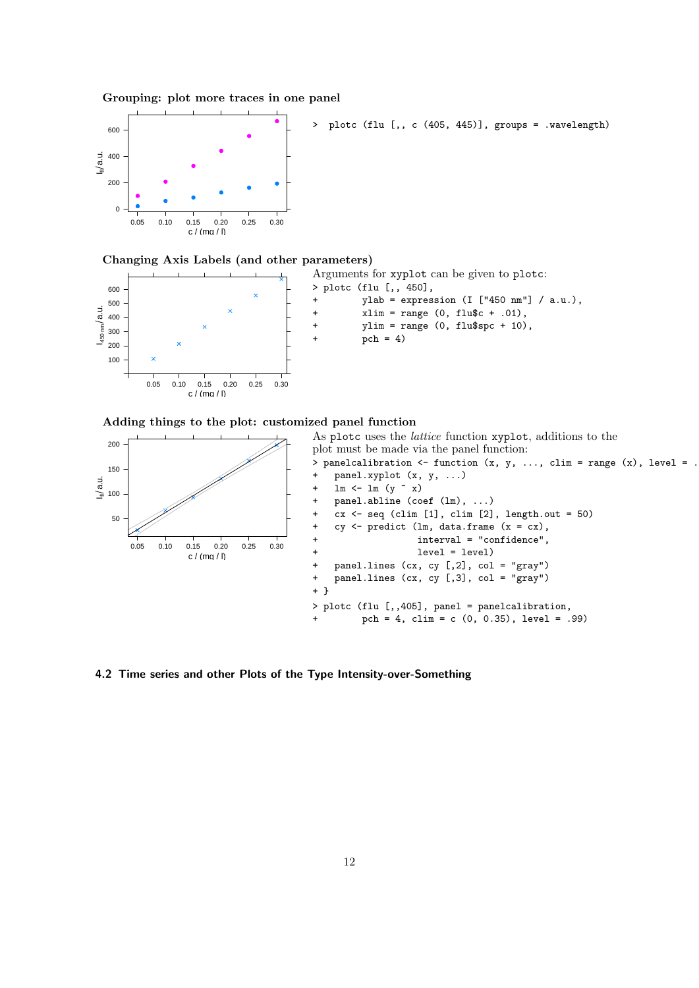





#### Changing Axis Labels (and other parameters)



```
Arguments for xyplot can be given to plotc:
> plotc (flu [,, 450],
        ylab = expression (I ["450 nm"] / a.u.),
+ xlim = range (0, flu$c + .01),
+ ylim = range (0, flu$spc + 10),
        pch = 4)
```
Adding things to the plot: customized panel function



<span id="page-11-0"></span>4.2 Time series and other Plots of the Type Intensity-over-Something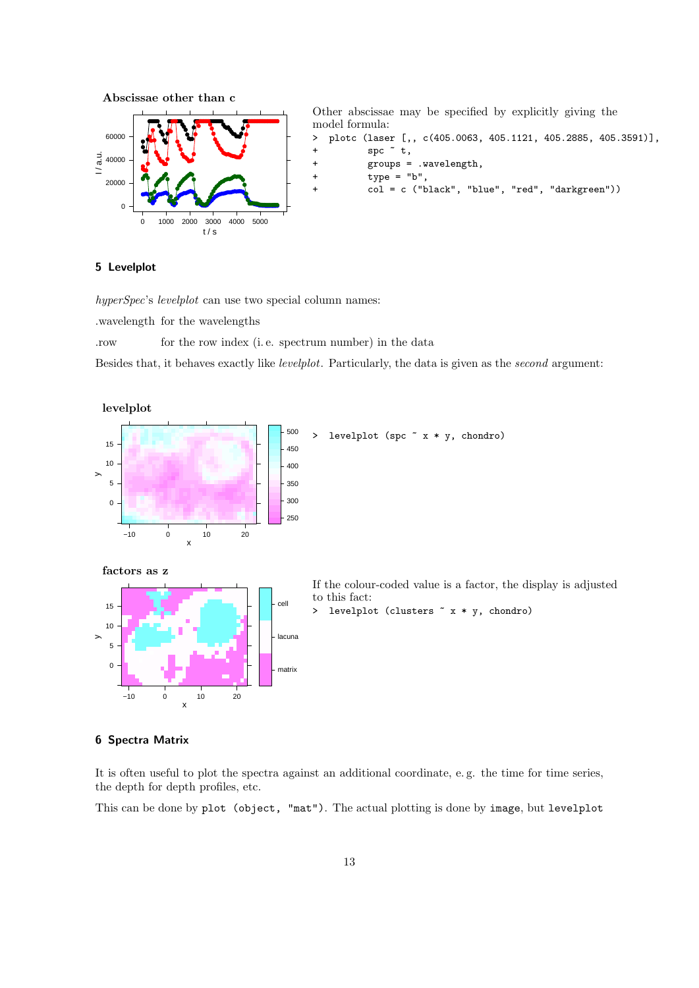

# <span id="page-12-0"></span>5 Levelplot

hyperSpec's levelplot can use two special column names:

.wavelength for the wavelengths

.row for the row index (i. e. spectrum number) in the data

Besides that, it behaves exactly like levelplot. Particularly, the data is given as the second argument:



# <span id="page-12-1"></span>6 Spectra Matrix

It is often useful to plot the spectra against an additional coordinate, e. g. the time for time series, the depth for depth profiles, etc.

This can be done by plot (object, "mat"). The actual plotting is done by image, but levelplot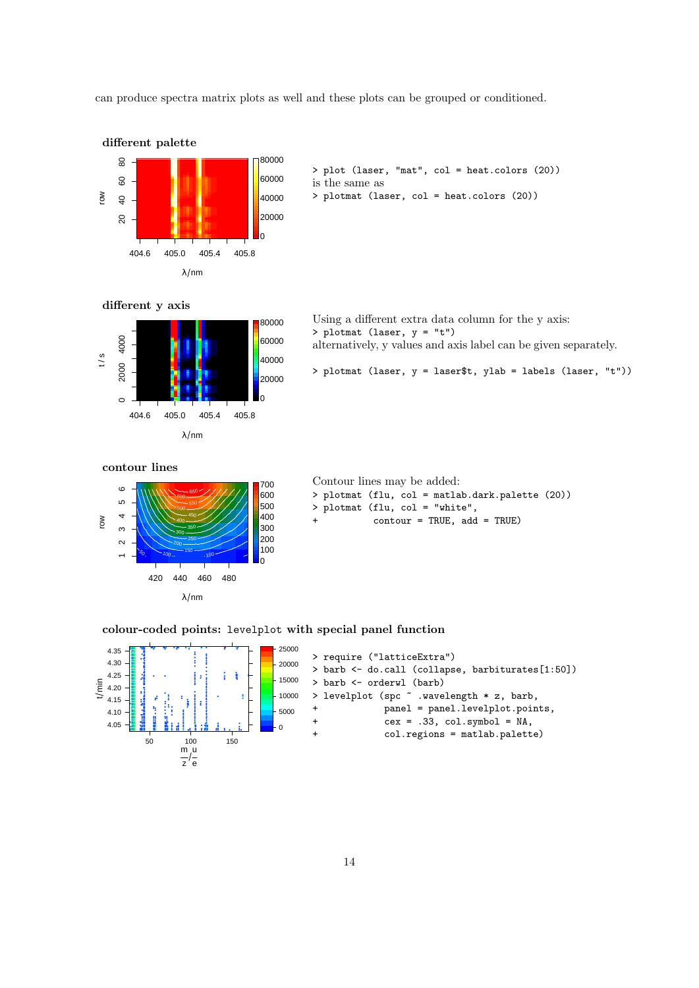can produce spectra matrix plots as well and these plots can be grouped or conditioned.



```
> plot (laser, "mat", col = heat.colors (20))
is the same as
```
> plotmat (laser, col = heat.colors (20))

#### different y axis



Using a different extra data column for the y axis: > plotmat (laser, y = "t") alternatively, y values and axis label can be given separately.

> plotmat (laser, y = laser\$t, ylab = labels (laser, "t"))

contour lines



Contour lines may be added:

- > plotmat (flu, col = matlab.dark.palette (20))
- > plotmat (flu, col = "white",
- $\text{contour} = \text{TRUE}, \text{ add} = \text{TRUE}$

colour-coded points: levelplot with special panel function

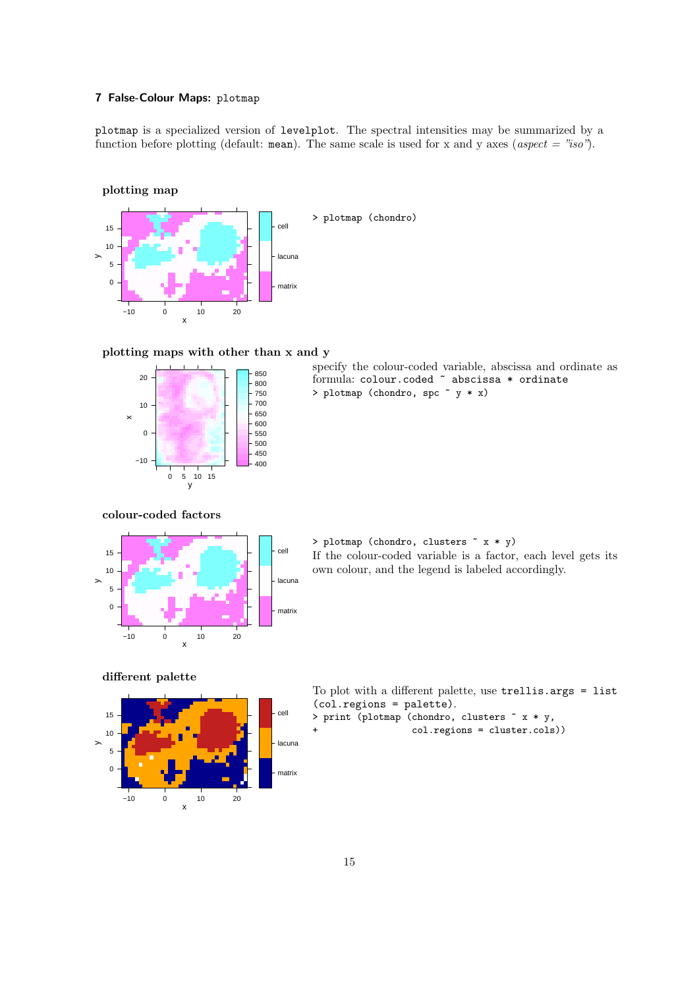# <span id="page-14-0"></span>7 False-Colour Maps: plotmap

plotmap is a specialized version of levelplot. The spectral intensities may be summarized by a function before plotting (default: mean). The same scale is used for x and y axes (aspect = "iso").

# plotting map



# plotting maps with other than x and y



specify the colour-coded variable, abscissa and ordinate as formula: colour.coded ~ abscissa \* ordinate > plotmap (chondro, spc  $\tilde{y}$   $*$  x)

# colour-coded factors



> plotmap (chondro, clusters ~ x \* y) If the colour-coded variable is a factor, each level gets its own colour, and the legend is labeled accordingly.

#### different palette



| To plot with a different palette, use trellis.args = list |
|-----------------------------------------------------------|
| $(col. regions = palette).$                               |
| > print (plotmap (chondro, clusters $x * y$ ,             |
| $col.$ regions = $cluster.cols)$ )                        |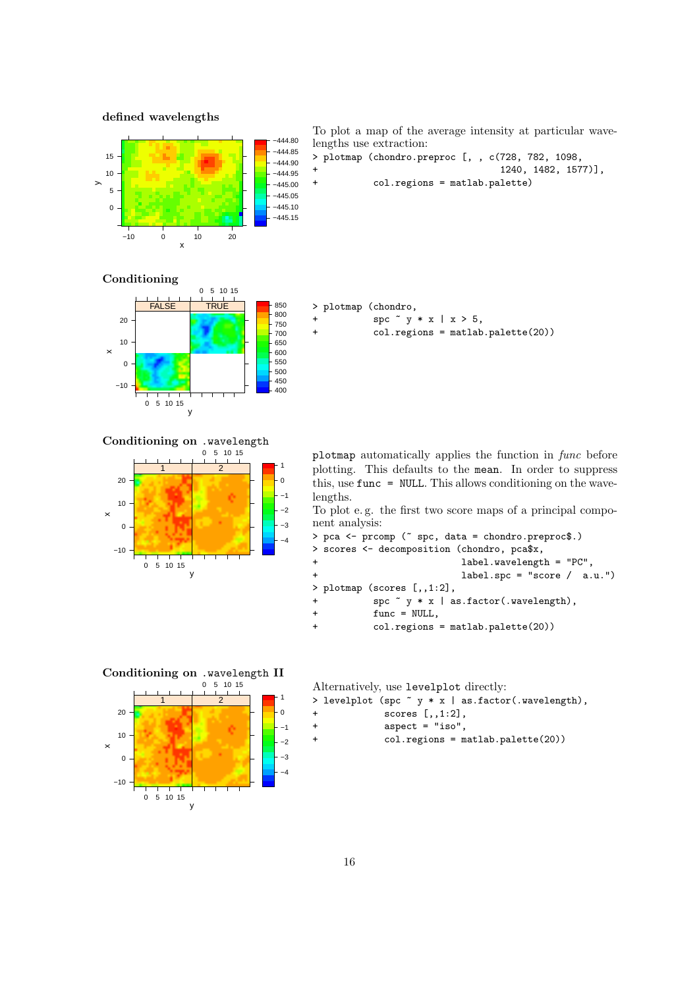defined wavelengths



To plot a map of the average intensity at particular wavelengths use extraction:

- > plotmap (chondro.preproc [, , c(728, 782, 1098,
	- + 1240, 1482, 1577)], + col.regions = matlab.palette)
- 
- 

# Conditioning



Conditioning on .wavelength



|           | > plotmap (chondro,                                               |
|-----------|-------------------------------------------------------------------|
| $\ddot{}$ | spc $\tilde{y}$ $\tilde{y}$ $\tilde{x}$ $\tilde{z}$ $\tilde{z}$ , |
| $\div$    | $col. regions = \text{math}.\text{palette}(20)$                   |

plotmap automatically applies the function in func before plotting. This defaults to the mean. In order to suppress this, use func = NULL. This allows conditioning on the wavelengths.

To plot e. g. the first two score maps of a principal component analysis:

```
> pca <- prcomp (~ spc, data = chondro.preproc$.)
> scores <- decomposition (chondro, pca$x,
+ label.wavelength = "PC",
+ label.spc = "score / a.u.")
> plotmap (scores [,,1:2],
+ spc ~ y * x | as.factor(.wavelength),
+ func = NULL,
+ col.regions = matlab.palette(20))
```
# Conditioning on .wavelength II



| Alternatively, use levelplot directly:                          |  |  |  |  |  |  |  |
|-----------------------------------------------------------------|--|--|--|--|--|--|--|
| > levelplot (spc $\tilde{y}$ $\ast$ x   as.factor(.wavelength), |  |  |  |  |  |  |  |
| scores $[.,1:2]$ ,                                              |  |  |  |  |  |  |  |

- + aspect = "iso",
- + col.regions = matlab.palette(20))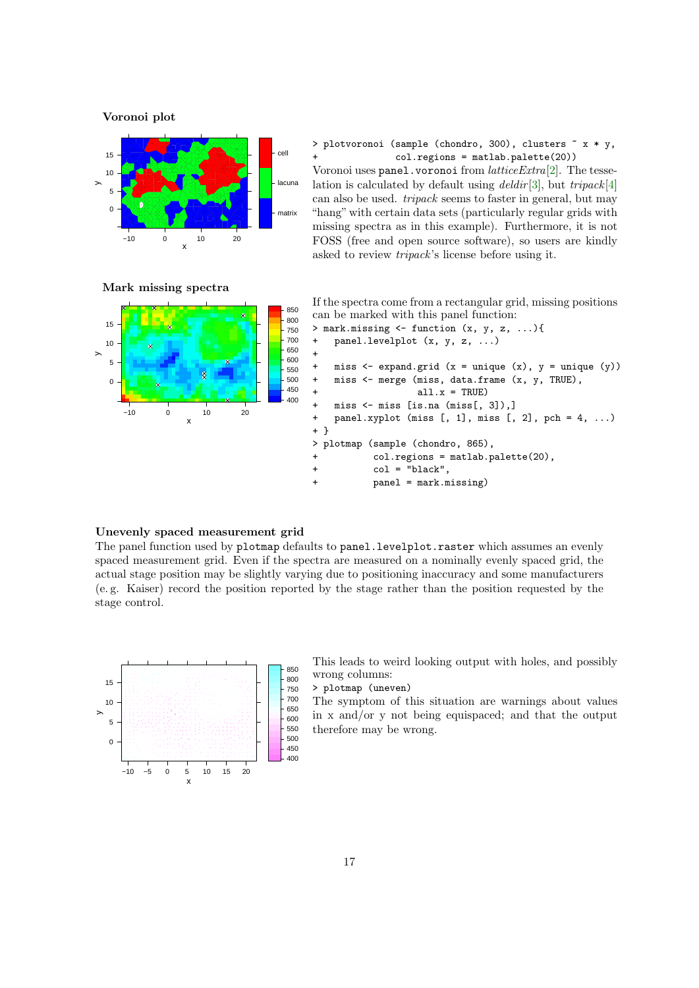Voronoi plot



> plotvoronoi (sample (chondro, 300), clusters ~ x \* y,  $col.$ regions = matlab.palette $(20)$ ) Voronoi uses panel.voronoi from latticeExtra[\[2\]](#page-20-4). The tesse-

lation is calculated by default using  $delta[i]$ , but  $tripack[4]$  $tripack[4]$ can also be used. tripack seems to faster in general, but may "hang" with certain data sets (particularly regular grids with missing spectra as in this example). Furthermore, it is not FOSS (free and open source software), so users are kindly asked to review tripack's license before using it.



If the spectra come from a rectangular grid, missing positions can be marked with this panel function:



850

#### Unevenly spaced measurement grid

The panel function used by plotmap defaults to panel.levelplot.raster which assumes an evenly spaced measurement grid. Even if the spectra are measured on a nominally evenly spaced grid, the actual stage position may be slightly varying due to positioning inaccuracy and some manufacturers (e. g. Kaiser) record the position reported by the stage rather than the position requested by the stage control.



This leads to weird looking output with holes, and possibly wrong columns:

> plotmap (uneven)

The symptom of this situation are warnings about values in x and/or y not being equispaced; and that the output therefore may be wrong.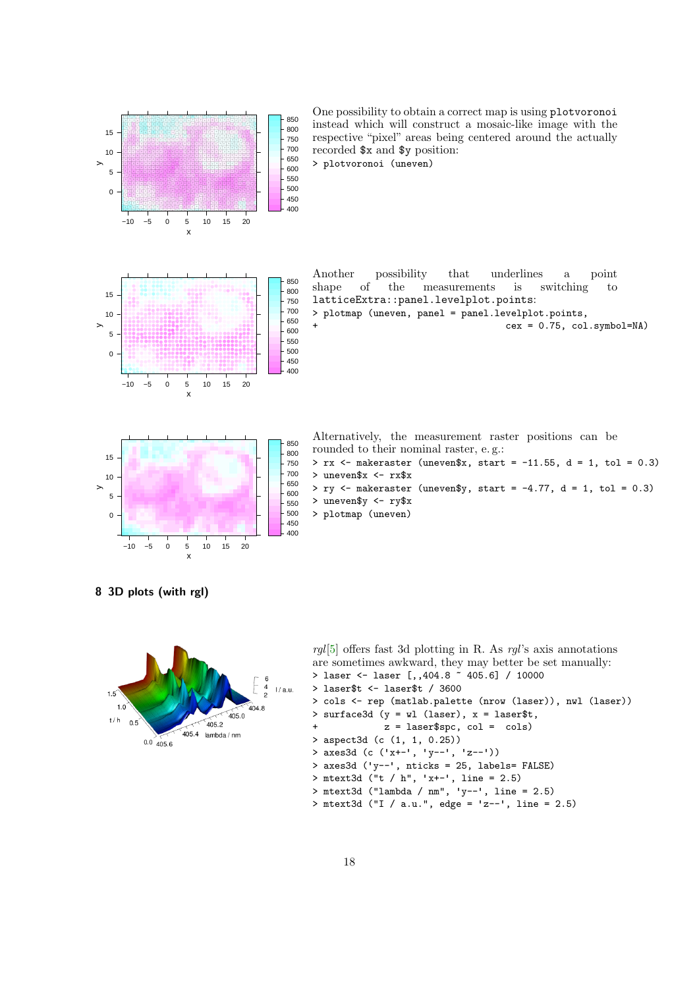

<span id="page-17-0"></span>8 3D plots (with rgl)



```
[5] offers fast 3d plotting in R. As rgl's axis annotations
are sometimes awkward, they may better be set manually:
> laser <- laser [,,404.8 ~ 405.6] / 10000
> laser$t <- laser$t / 3600
> cols <- rep (matlab.palette (nrow (laser)), nwl (laser))
> surface3d (y = wl (laser), x = laser$t,
+ z = laser$spc, col = cols)
> aspect3d (c (1, 1, 0.25))
> axes3d (c ('x+-', 'y--', 'z--'))
> axes3d ('y--', nticks = 25, labels= FALSE)
> mtext3d ("t / h", 'x+-', line = 2.5)
> mtext3d ("lambda / nm", 'y--', line = 2.5)
> mtext3d ("I / a.u.", edge = 'z--', line = 2.5)
```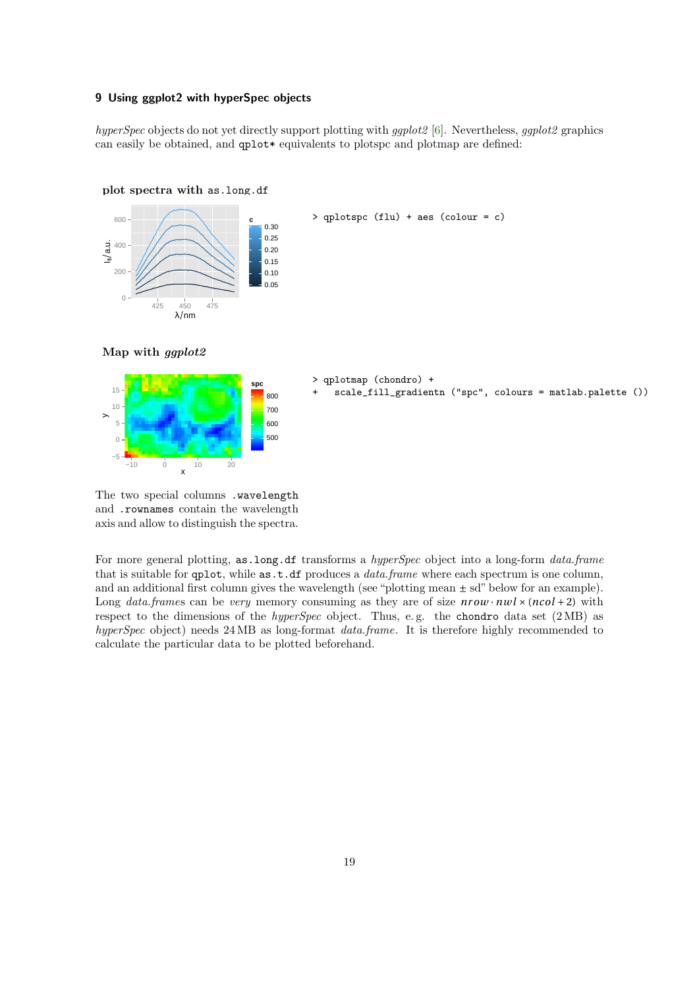# <span id="page-18-0"></span>9 Using ggplot2 with hyperSpec objects

hyperSpec objects do not yet directly support plotting with ggplot2 [\[6\]](#page-20-8). Nevertheless, ggplot2 graphics can easily be obtained, and  $qplot*$  equivalents to plotspc and plotmap are defined:





> qplotspc (flu) + aes (colour = c)





#### > qplotmap (chondro) + scale\_fill\_gradientn ("spc", colours = matlab.palette ())

The two special columns .wavelength and .rownames contain the wavelength axis and allow to distinguish the spectra.

For more general plotting, as.long.df transforms a hyperSpec object into a long-form data.frame that is suitable for  $qplot$ , while  $as.t.df$  produces a *data.frame* where each spectrum is one column, and an additional first column gives the wavelength (see "plotting mean  $\pm$  sd" below for an example). Long data.frames can be very memory consuming as they are of size  $nrow \cdot nwl \times (ncol + 2)$  with respect to the dimensions of the *hyperSpec* object. Thus, e.g. the chondro data set (2 MB) as hyperSpec object) needs 24 MB as long-format data.frame. It is therefore highly recommended to calculate the particular data to be plotted beforehand.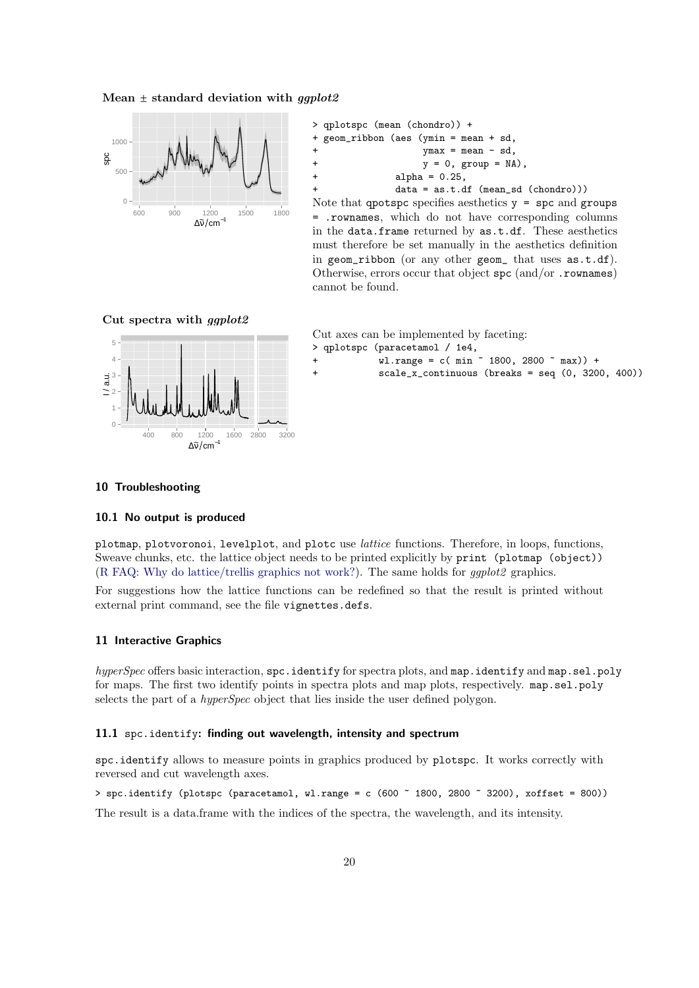#### Mean  $\pm$  standard deviation with *gaplot2*



> qplotspc (mean (chondro)) + + geom\_ribbon (aes (ymin = mean + sd,  $ymax = mean - sd,$  $y = 0$ , group = NA),  $+$  alpha =  $0.25$ ,  $data = as.t.df (mean_s d (chondro)))$ 

Note that qpotspc specifies aesthetics  $y =$  spc and groups = .rownames, which do not have corresponding columns in the data.frame returned by as.t.df. These aesthetics must therefore be set manually in the aesthetics definition in geom\_ribbon (or any other geom\_ that uses as.t.df). Otherwise, errors occur that object spc (and/or .rownames) cannot be found.





Cut axes can be implemented by faceting:

> qplotspc (paracetamol / 1e4,

- $wl.random = c(min ~ 1800, 2800 ~ max) +$
- + scale\_x\_continuous (breaks = seq (0, 3200, 400))

#### <span id="page-19-0"></span>10 Troubleshooting

#### <span id="page-19-1"></span>10.1 No output is produced

plotmap, plotvoronoi, levelplot, and plotc use lattice functions. Therefore, in loops, functions, Sweave chunks, etc. the lattice object needs to be printed explicitly by print (plotmap (object)) [\(R FAQ: Why do lattice/trellis graphics not work?\)](http://cran.r-project.org/doc/FAQ/R-FAQ.html#Why-do-lattice_002ftrellis-graphics-not-work_003f). The same holds for ggplot2 graphics.

For suggestions how the lattice functions can be redefined so that the result is printed without external print command, see the file vignettes.defs.

#### <span id="page-19-2"></span>11 Interactive Graphics

hyperSpec offers basic interaction,  $\texttt{spc.identity}$  for spectra plots, and  $\texttt{map.identity}$  and  $\texttt{map.sel.poly}$ for maps. The first two identify points in spectra plots and map plots, respectively. map.sel.poly selects the part of a hyperSpec object that lies inside the user defined polygon.

#### <span id="page-19-3"></span>11.1 spc.identify: finding out wavelength, intensity and spectrum

spc.identify allows to measure points in graphics produced by plotspc. It works correctly with reversed and cut wavelength axes.

 $>$  spc.identify (plotspc (paracetamol, wl.range = c (600  $\degree$  1800, 2800  $\degree$  3200), xoffset = 800))

The result is a data.frame with the indices of the spectra, the wavelength, and its intensity.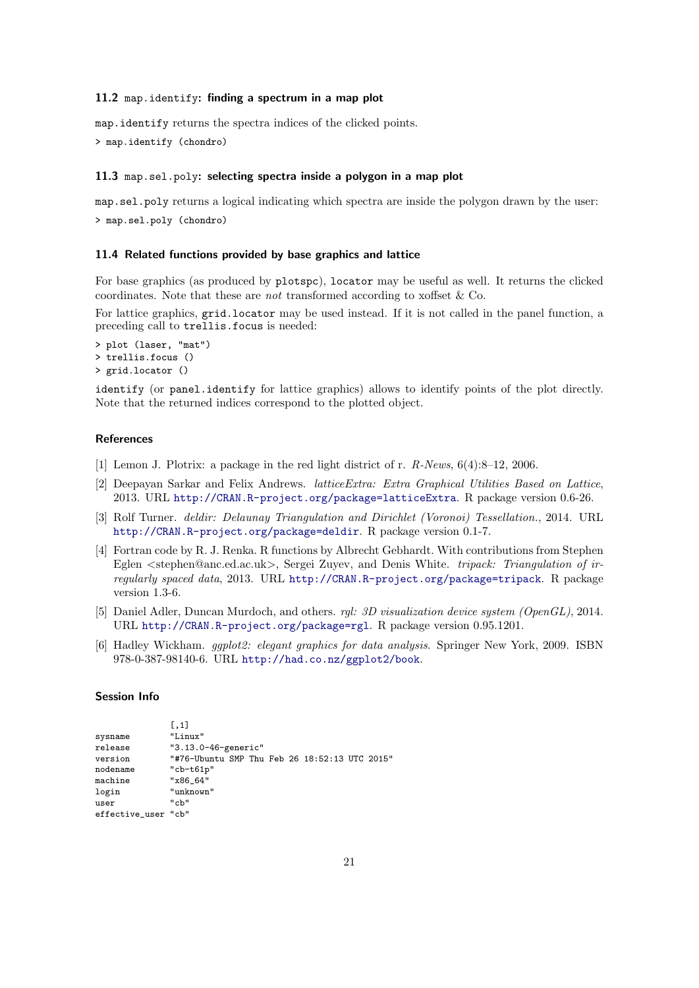#### <span id="page-20-0"></span>11.2 map.identify: finding a spectrum in a map plot

map.identify returns the spectra indices of the clicked points.

> map.identify (chondro)

# <span id="page-20-1"></span>11.3 map.sel.poly: selecting spectra inside a polygon in a map plot

map.sel.poly returns a logical indicating which spectra are inside the polygon drawn by the user: > map.sel.poly (chondro)

# <span id="page-20-2"></span>11.4 Related functions provided by base graphics and lattice

For base graphics (as produced by plotspc), locator may be useful as well. It returns the clicked coordinates. Note that these are not transformed according to xoffset & Co.

For lattice graphics, grid.locator may be used instead. If it is not called in the panel function, a preceding call to trellis.focus is needed:

```
> plot (laser, "mat")
> trellis.focus ()
> grid.locator ()
```
identify (or panel.identify for lattice graphics) allows to identify points of the plot directly. Note that the returned indices correspond to the plotted object.

# **References**

- <span id="page-20-3"></span>[1] Lemon J. Plotrix: a package in the red light district of r. R-News, 6(4):8–12, 2006.
- <span id="page-20-4"></span>[2] Deepayan Sarkar and Felix Andrews. latticeExtra: Extra Graphical Utilities Based on Lattice, 2013. URL <http://CRAN.R-project.org/package=latticeExtra>. R package version 0.6-26.
- <span id="page-20-5"></span>[3] Rolf Turner. deldir: Delaunay Triangulation and Dirichlet (Voronoi) Tessellation., 2014. URL <http://CRAN.R-project.org/package=deldir>. R package version 0.1-7.
- <span id="page-20-6"></span>[4] Fortran code by R. J. Renka. R functions by Albrecht Gebhardt. With contributions from Stephen Eglen <stephen@anc.ed.ac.uk>, Sergei Zuyev, and Denis White. tripack: Triangulation of irregularly spaced data, 2013. URL <http://CRAN.R-project.org/package=tripack>. R package version 1.3-6.
- <span id="page-20-7"></span>[5] Daniel Adler, Duncan Murdoch, and others. rgl: 3D visualization device system (OpenGL), 2014. URL <http://CRAN.R-project.org/package=rgl>. R package version 0.95.1201.
- <span id="page-20-8"></span>[6] Hadley Wickham. ggplot2: elegant graphics for data analysis. Springer New York, 2009. ISBN 978-0-387-98140-6. URL <http://had.co.nz/ggplot2/book>.

#### Session Info

 $\overline{1}$ 

|                                         | <b>L.L.</b>                                   |  |  |  |  |  |
|-----------------------------------------|-----------------------------------------------|--|--|--|--|--|
| sysname                                 | "Linux"                                       |  |  |  |  |  |
| $\verb release $<br>"3.13.0-46-generic" |                                               |  |  |  |  |  |
| version                                 | "#76-Ubuntu SMP Thu Feb 26 18:52:13 UTC 2015" |  |  |  |  |  |
| nodename                                | " $cb-t61p"$                                  |  |  |  |  |  |
| machine                                 | "x86 64"                                      |  |  |  |  |  |
| login                                   | "unknown"                                     |  |  |  |  |  |
| user                                    | "ch"                                          |  |  |  |  |  |
| effective user "cb"                     |                                               |  |  |  |  |  |
|                                         |                                               |  |  |  |  |  |